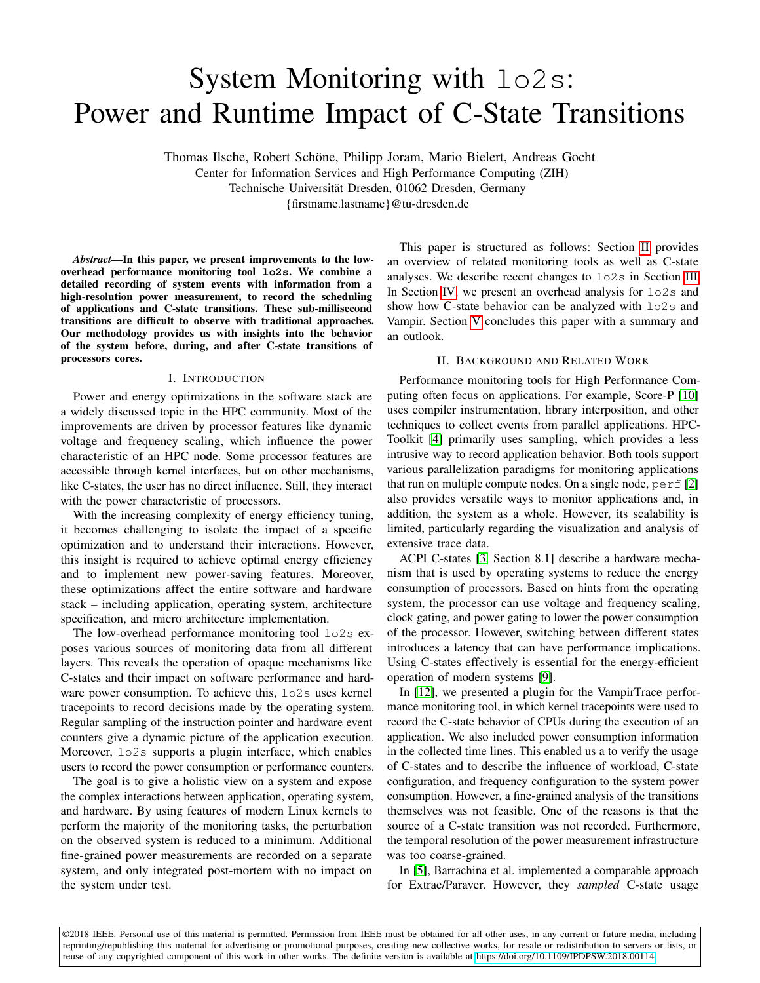# System Monitoring with  $\log 2$ s: Power and Runtime Impact of C-State Transitions

Thomas Ilsche, Robert Schöne, Philipp Joram, Mario Bielert, Andreas Gocht

Center for Information Services and High Performance Computing (ZIH) Technische Universität Dresden, 01062 Dresden, Germany

{firstname.lastname}@tu-dresden.de

*Abstract*—In this paper, we present improvements to the lowoverhead performance monitoring tool **lo2s**. We combine a detailed recording of system events with information from a high-resolution power measurement, to record the scheduling of applications and C-state transitions. These sub-millisecond transitions are difficult to observe with traditional approaches. Our methodology provides us with insights into the behavior

# I. INTRODUCTION

processors cores.

of the system before, during, and after C-state transitions of

Power and energy optimizations in the software stack are a widely discussed topic in the HPC community. Most of the improvements are driven by processor features like dynamic voltage and frequency scaling, which influence the power characteristic of an HPC node. Some processor features are accessible through kernel interfaces, but on other mechanisms, like C-states, the user has no direct influence. Still, they interact with the power characteristic of processors.

With the increasing complexity of energy efficiency tuning, it becomes challenging to isolate the impact of a specific optimization and to understand their interactions. However, this insight is required to achieve optimal energy efficiency and to implement new power-saving features. Moreover, these optimizations affect the entire software and hardware stack – including application, operating system, architecture specification, and micro architecture implementation.

The low-overhead performance monitoring tool lo2s exposes various sources of monitoring data from all different layers. This reveals the operation of opaque mechanisms like C-states and their impact on software performance and hardware power consumption. To achieve this,  $\log 2s$  uses kernel tracepoints to record decisions made by the operating system. Regular sampling of the instruction pointer and hardware event counters give a dynamic picture of the application execution. Moreover,  $\log$  supports a plugin interface, which enables users to record the power consumption or performance counters.

The goal is to give a holistic view on a system and expose the complex interactions between application, operating system, and hardware. By using features of modern Linux kernels to perform the majority of the monitoring tasks, the perturbation on the observed system is reduced to a minimum. Additional fine-grained power measurements are recorded on a separate system, and only integrated post-mortem with no impact on the system under test.

This paper is structured as follows: Section [II](#page-0-0) provides an overview of related monitoring tools as well as C-state analyses. We describe recent changes to lo2s in Section [III.](#page-1-0) In Section [IV,](#page-1-1) we present an overhead analysis for  $\log$  and show how C-state behavior can be analyzed with  $\log$  and Vampir. Section [V](#page-3-0) concludes this paper with a summary and an outlook.

## II. BACKGROUND AND RELATED WORK

<span id="page-0-0"></span>Performance monitoring tools for High Performance Computing often focus on applications. For example, Score-P [\[10\]](#page-3-1) uses compiler instrumentation, library interposition, and other techniques to collect events from parallel applications. HPC-Toolkit [\[4\]](#page-3-2) primarily uses sampling, which provides a less intrusive way to record application behavior. Both tools support various parallelization paradigms for monitoring applications that run on multiple compute nodes. On a single node,  $perf$  [\[2\]](#page-3-3) also provides versatile ways to monitor applications and, in addition, the system as a whole. However, its scalability is limited, particularly regarding the visualization and analysis of extensive trace data.

ACPI C-states [\[3,](#page-3-4) Section 8.1] describe a hardware mechanism that is used by operating systems to reduce the energy consumption of processors. Based on hints from the operating system, the processor can use voltage and frequency scaling, clock gating, and power gating to lower the power consumption of the processor. However, switching between different states introduces a latency that can have performance implications. Using C-states effectively is essential for the energy-efficient operation of modern systems [\[9\]](#page-3-5).

In [\[12\]](#page-3-6), we presented a plugin for the VampirTrace performance monitoring tool, in which kernel tracepoints were used to record the C-state behavior of CPUs during the execution of an application. We also included power consumption information in the collected time lines. This enabled us a to verify the usage of C-states and to describe the influence of workload, C-state configuration, and frequency configuration to the system power consumption. However, a fine-grained analysis of the transitions themselves was not feasible. One of the reasons is that the source of a C-state transition was not recorded. Furthermore, the temporal resolution of the power measurement infrastructure was too coarse-grained.

In [\[5\]](#page-3-7), Barrachina et al. implemented a comparable approach for Extrae/Paraver. However, they *sampled* C-state usage

©2018 IEEE. Personal use of this material is permitted. Permission from IEEE must be obtained for all other uses, in any current or future media, including reprinting/republishing this material for advertising or promotional purposes, creating new collective works, for resale or redistribution to servers or lists, or reuse of any copyrighted component of this work in other works. The definite version is available at [https://doi.org/10.1109/IPDPSW.2018.00114.](https://doi.org/10.1109/IPDPSW.2018.00114)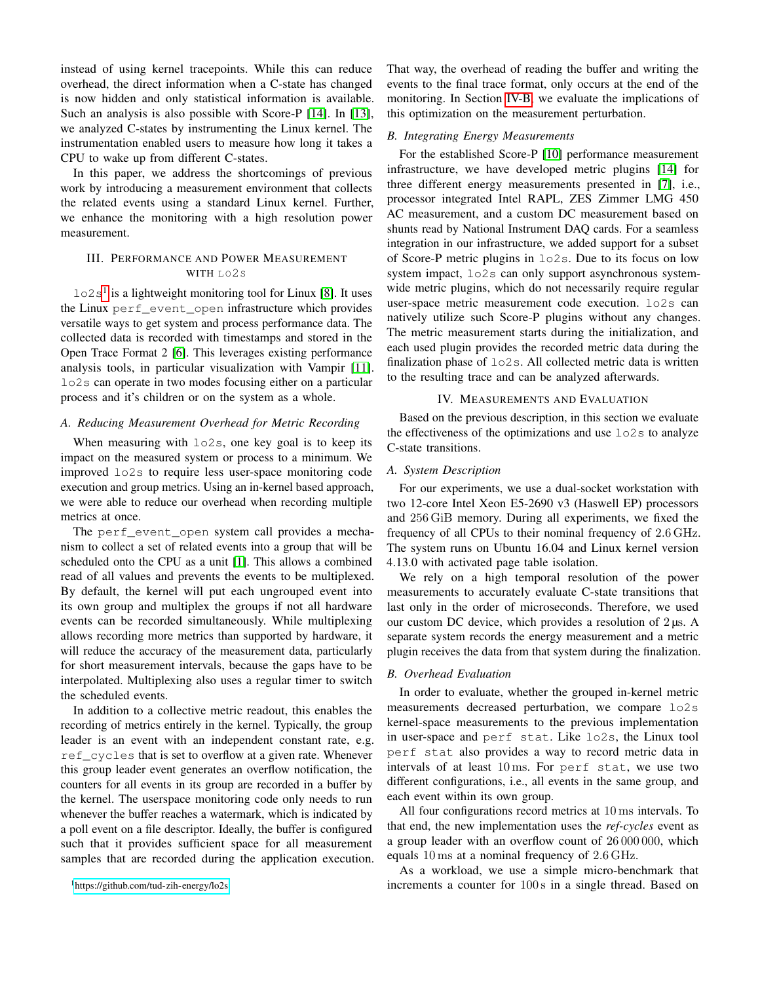instead of using kernel tracepoints. While this can reduce overhead, the direct information when a C-state has changed is now hidden and only statistical information is available. Such an analysis is also possible with Score-P [\[14\]](#page-3-8). In [\[13\]](#page-3-9), we analyzed C-states by instrumenting the Linux kernel. The instrumentation enabled users to measure how long it takes a CPU to wake up from different C-states.

In this paper, we address the shortcomings of previous work by introducing a measurement environment that collects the related events using a standard Linux kernel. Further, we enhance the monitoring with a high resolution power measurement.

# <span id="page-1-0"></span>III. PERFORMANCE AND POWER MEASUREMENT WITH LO<sub>2S</sub>

 $\log^{1}$  $\log^{1}$  $\log^{1}$  is a lightweight monitoring tool for Linux [\[8\]](#page-3-10). It uses the Linux perf\_event\_open infrastructure which provides versatile ways to get system and process performance data. The collected data is recorded with timestamps and stored in the Open Trace Format 2 [\[6\]](#page-3-11). This leverages existing performance analysis tools, in particular visualization with Vampir [\[11\]](#page-3-12). lo2s can operate in two modes focusing either on a particular process and it's children or on the system as a whole.

## *A. Reducing Measurement Overhead for Metric Recording*

When measuring with  $l$ o2s, one key goal is to keep its impact on the measured system or process to a minimum. We improved lo2s to require less user-space monitoring code execution and group metrics. Using an in-kernel based approach, we were able to reduce our overhead when recording multiple metrics at once.

The perf\_event\_open system call provides a mechanism to collect a set of related events into a group that will be scheduled onto the CPU as a unit [\[1\]](#page-3-13). This allows a combined read of all values and prevents the events to be multiplexed. By default, the kernel will put each ungrouped event into its own group and multiplex the groups if not all hardware events can be recorded simultaneously. While multiplexing allows recording more metrics than supported by hardware, it will reduce the accuracy of the measurement data, particularly for short measurement intervals, because the gaps have to be interpolated. Multiplexing also uses a regular timer to switch the scheduled events.

In addition to a collective metric readout, this enables the recording of metrics entirely in the kernel. Typically, the group leader is an event with an independent constant rate, e.g. ref\_cycles that is set to overflow at a given rate. Whenever this group leader event generates an overflow notification, the counters for all events in its group are recorded in a buffer by the kernel. The userspace monitoring code only needs to run whenever the buffer reaches a watermark, which is indicated by a poll event on a file descriptor. Ideally, the buffer is configured such that it provides sufficient space for all measurement samples that are recorded during the application execution.

<span id="page-1-2"></span><sup>1</sup><https://github.com/tud-zih-energy/lo2s>

That way, the overhead of reading the buffer and writing the events to the final trace format, only occurs at the end of the monitoring. In Section [IV-B,](#page-1-3) we evaluate the implications of this optimization on the measurement perturbation.

#### *B. Integrating Energy Measurements*

For the established Score-P [\[10\]](#page-3-1) performance measurement infrastructure, we have developed metric plugins [\[14\]](#page-3-8) for three different energy measurements presented in [\[7\]](#page-3-14), i.e., processor integrated Intel RAPL, ZES Zimmer LMG 450 AC measurement, and a custom DC measurement based on shunts read by National Instrument DAQ cards. For a seamless integration in our infrastructure, we added support for a subset of Score-P metric plugins in lo2s. Due to its focus on low system impact,  $1o2s$  can only support asynchronous systemwide metric plugins, which do not necessarily require regular user-space metric measurement code execution. lo2s can natively utilize such Score-P plugins without any changes. The metric measurement starts during the initialization, and each used plugin provides the recorded metric data during the finalization phase of lo2s. All collected metric data is written to the resulting trace and can be analyzed afterwards.

#### IV. MEASUREMENTS AND EVALUATION

<span id="page-1-1"></span>Based on the previous description, in this section we evaluate the effectiveness of the optimizations and use lo2s to analyze C-state transitions.

## *A. System Description*

For our experiments, we use a dual-socket workstation with two 12-core Intel Xeon E5-2690 v3 (Haswell EP) processors and 256 GiB memory. During all experiments, we fixed the frequency of all CPUs to their nominal frequency of 2.6 GHz. The system runs on Ubuntu 16.04 and Linux kernel version 4.13.0 with activated page table isolation.

We rely on a high temporal resolution of the power measurements to accurately evaluate C-state transitions that last only in the order of microseconds. Therefore, we used our custom DC device, which provides a resolution of  $2 \mu s$ . A separate system records the energy measurement and a metric plugin receives the data from that system during the finalization.

#### <span id="page-1-3"></span>*B. Overhead Evaluation*

In order to evaluate, whether the grouped in-kernel metric measurements decreased perturbation, we compare lo2s kernel-space measurements to the previous implementation in user-space and perf stat. Like lo2s, the Linux tool perf stat also provides a way to record metric data in intervals of at least 10 ms. For perf stat, we use two different configurations, i.e., all events in the same group, and each event within its own group.

All four configurations record metrics at 10 ms intervals. To that end, the new implementation uses the *ref-cycles* event as a group leader with an overflow count of 26 000 000, which equals 10 ms at a nominal frequency of 2.6 GHz.

As a workload, we use a simple micro-benchmark that increments a counter for  $100 s$  in a single thread. Based on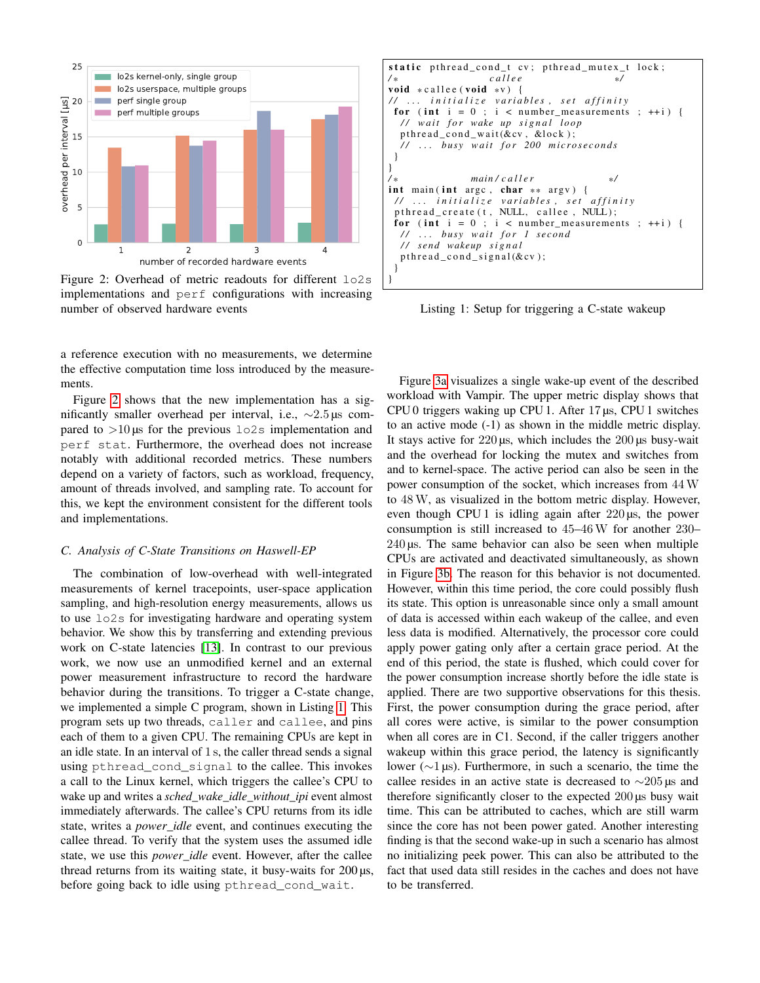<span id="page-2-0"></span>

Figure 2: Overhead of metric readouts for different lo2s implementations and perf configurations with increasing number of observed hardware events

a reference execution with no measurements, we determine the effective computation time loss introduced by the measurements.

Figure [2](#page-2-0) shows that the new implementation has a significantly smaller overhead per interval, i.e., ∼2.5 µs compared to  $>10 \,\mu s$  for the previous  $\log 2s$  implementation and perf stat. Furthermore, the overhead does not increase notably with additional recorded metrics. These numbers depend on a variety of factors, such as workload, frequency, amount of threads involved, and sampling rate. To account for this, we kept the environment consistent for the different tools and implementations.

# *C. Analysis of C-State Transitions on Haswell-EP*

The combination of low-overhead with well-integrated measurements of kernel tracepoints, user-space application sampling, and high-resolution energy measurements, allows us to use lo2s for investigating hardware and operating system behavior. We show this by transferring and extending previous work on C-state latencies [\[13\]](#page-3-9). In contrast to our previous work, we now use an unmodified kernel and an external power measurement infrastructure to record the hardware behavior during the transitions. To trigger a C-state change, we implemented a simple C program, shown in Listing [1.](#page-2-1) This program sets up two threads, caller and callee, and pins each of them to a given CPU. The remaining CPUs are kept in an idle state. In an interval of 1 s, the caller thread sends a signal using pthread\_cond\_signal to the callee. This invokes a call to the Linux kernel, which triggers the callee's CPU to wake up and writes a *sched\_wake\_idle\_without\_ipi* event almost immediately afterwards. The callee's CPU returns from its idle state, writes a *power\_idle* event, and continues executing the callee thread. To verify that the system uses the assumed idle state, we use this *power idle* event. However, after the callee thread returns from its waiting state, it busy-waits for 200 µs, before going back to idle using pthread\_cond\_wait.

<span id="page-2-1"></span>

Listing 1: Setup for triggering a C-state wakeup

Figure [3a](#page-3-15) visualizes a single wake-up event of the described workload with Vampir. The upper metric display shows that CPU 0 triggers waking up CPU 1. After 17 µs, CPU 1 switches to an active mode (-1) as shown in the middle metric display. It stays active for 220 µs, which includes the 200 µs busy-wait and the overhead for locking the mutex and switches from and to kernel-space. The active period can also be seen in the power consumption of the socket, which increases from 44W to 48W, as visualized in the bottom metric display. However, even though CPU 1 is idling again after 220 µs, the power consumption is still increased to 45–46W for another 230– 240 µs. The same behavior can also be seen when multiple CPUs are activated and deactivated simultaneously, as shown in Figure [3b.](#page-3-16) The reason for this behavior is not documented. However, within this time period, the core could possibly flush its state. This option is unreasonable since only a small amount of data is accessed within each wakeup of the callee, and even less data is modified. Alternatively, the processor core could apply power gating only after a certain grace period. At the end of this period, the state is flushed, which could cover for the power consumption increase shortly before the idle state is applied. There are two supportive observations for this thesis. First, the power consumption during the grace period, after all cores were active, is similar to the power consumption when all cores are in C1. Second, if the caller triggers another wakeup within this grace period, the latency is significantly lower (∼1 µs). Furthermore, in such a scenario, the time the callee resides in an active state is decreased to  $\sim$ 205 µs and therefore significantly closer to the expected 200 µs busy wait time. This can be attributed to caches, which are still warm since the core has not been power gated. Another interesting finding is that the second wake-up in such a scenario has almost no initializing peek power. This can also be attributed to the fact that used data still resides in the caches and does not have to be transferred.